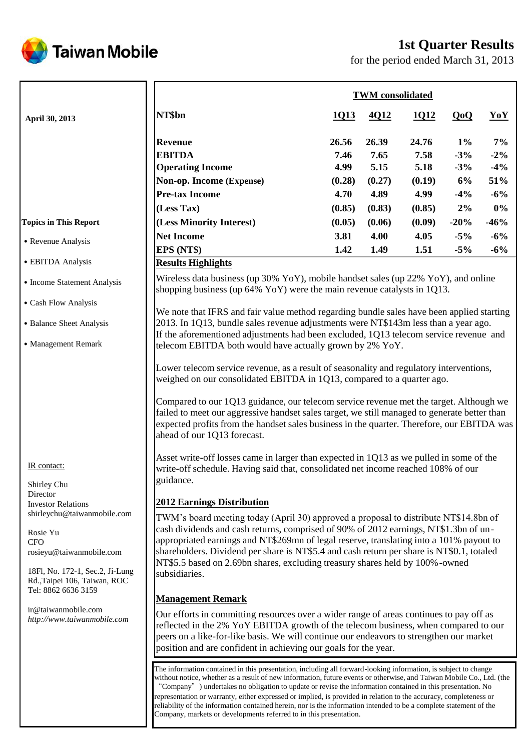

# **1st Quarter Results**

for the period ended March 31, 2013

|                                                                                                                                                                             |                                                                                                                                                                                                                                                                                                                                                                                                                                                                                                                                                                                                                                                                                                                                                                                                                                                                                                                                                                                                             | <b>TWM</b> consolidated |        |        |        |        |
|-----------------------------------------------------------------------------------------------------------------------------------------------------------------------------|-------------------------------------------------------------------------------------------------------------------------------------------------------------------------------------------------------------------------------------------------------------------------------------------------------------------------------------------------------------------------------------------------------------------------------------------------------------------------------------------------------------------------------------------------------------------------------------------------------------------------------------------------------------------------------------------------------------------------------------------------------------------------------------------------------------------------------------------------------------------------------------------------------------------------------------------------------------------------------------------------------------|-------------------------|--------|--------|--------|--------|
| April 30, 2013                                                                                                                                                              | NT\$bn                                                                                                                                                                                                                                                                                                                                                                                                                                                                                                                                                                                                                                                                                                                                                                                                                                                                                                                                                                                                      | 1Q13                    | 4Q12   | 1Q12   | QoQ    | YoY    |
|                                                                                                                                                                             | <b>Revenue</b>                                                                                                                                                                                                                                                                                                                                                                                                                                                                                                                                                                                                                                                                                                                                                                                                                                                                                                                                                                                              | 26.56                   | 26.39  | 24.76  | $1\%$  | 7%     |
|                                                                                                                                                                             | <b>EBITDA</b>                                                                                                                                                                                                                                                                                                                                                                                                                                                                                                                                                                                                                                                                                                                                                                                                                                                                                                                                                                                               | 7.46                    | 7.65   | 7.58   | $-3\%$ | $-2\%$ |
|                                                                                                                                                                             | <b>Operating Income</b>                                                                                                                                                                                                                                                                                                                                                                                                                                                                                                                                                                                                                                                                                                                                                                                                                                                                                                                                                                                     | 4.99                    | 5.15   | 5.18   | $-3\%$ | $-4\%$ |
|                                                                                                                                                                             | Non-op. Income (Expense)                                                                                                                                                                                                                                                                                                                                                                                                                                                                                                                                                                                                                                                                                                                                                                                                                                                                                                                                                                                    | (0.28)                  | (0.27) | (0.19) | 6%     | 51%    |
|                                                                                                                                                                             | <b>Pre-tax Income</b>                                                                                                                                                                                                                                                                                                                                                                                                                                                                                                                                                                                                                                                                                                                                                                                                                                                                                                                                                                                       | 4.70                    | 4.89   | 4.99   | $-4\%$ | $-6%$  |
|                                                                                                                                                                             | (Less Tax)                                                                                                                                                                                                                                                                                                                                                                                                                                                                                                                                                                                                                                                                                                                                                                                                                                                                                                                                                                                                  | (0.85)                  | (0.83) | (0.85) | 2%     | $0\%$  |
| <b>Topics in This Report</b>                                                                                                                                                | (Less Minority Interest)                                                                                                                                                                                                                                                                                                                                                                                                                                                                                                                                                                                                                                                                                                                                                                                                                                                                                                                                                                                    | (0.05)                  | (0.06) | (0.09) | $-20%$ | $-46%$ |
|                                                                                                                                                                             | <b>Net Income</b>                                                                                                                                                                                                                                                                                                                                                                                                                                                                                                                                                                                                                                                                                                                                                                                                                                                                                                                                                                                           | 3.81                    | 4.00   | 4.05   | $-5\%$ | $-6%$  |
| • Revenue Analysis                                                                                                                                                          | EPS (NT\$)                                                                                                                                                                                                                                                                                                                                                                                                                                                                                                                                                                                                                                                                                                                                                                                                                                                                                                                                                                                                  | 1.42                    | 1.49   | 1.51   | $-5\%$ | $-6%$  |
| • EBITDA Analysis                                                                                                                                                           | <b>Results Highlights</b>                                                                                                                                                                                                                                                                                                                                                                                                                                                                                                                                                                                                                                                                                                                                                                                                                                                                                                                                                                                   |                         |        |        |        |        |
| • Income Statement Analysis<br>• Cash Flow Analysis<br>• Balance Sheet Analysis<br>• Management Remark                                                                      | Wireless data business (up $30\%$ YoY), mobile handset sales (up $22\%$ YoY), and online<br>shopping business (up $64\%$ YoY) were the main revenue catalysts in 1Q13.<br>We note that IFRS and fair value method regarding bundle sales have been applied starting<br>2013. In 1Q13, bundle sales revenue adjustments were NT\$143m less than a year ago.<br>If the aforementioned adjustments had been excluded, 1Q13 telecom service revenue and<br>telecom EBITDA both would have actually grown by 2% YoY.<br>Lower telecom service revenue, as a result of seasonality and regulatory interventions,<br>weighed on our consolidated EBITDA in 1Q13, compared to a quarter ago.<br>Compared to our 1Q13 guidance, our telecom service revenue met the target. Although we<br>failed to meet our aggressive handset sales target, we still managed to generate better than<br>expected profits from the handset sales business in the quarter. Therefore, our EBITDA was<br>ahead of our 1Q13 forecast. |                         |        |        |        |        |
| IR contact:<br>Shirley Chu<br>Director                                                                                                                                      | Asset write-off losses came in larger than expected in $1Q13$ as we pulled in some of the<br>write-off schedule. Having said that, consolidated net income reached 108% of our<br>guidance.                                                                                                                                                                                                                                                                                                                                                                                                                                                                                                                                                                                                                                                                                                                                                                                                                 |                         |        |        |        |        |
| <b>Investor Relations</b>                                                                                                                                                   | <b>2012 Earnings Distribution</b>                                                                                                                                                                                                                                                                                                                                                                                                                                                                                                                                                                                                                                                                                                                                                                                                                                                                                                                                                                           |                         |        |        |        |        |
| shirleychu@taiwanmobile.com<br>Rosie Yu<br><b>CFO</b><br>rosieyu@taiwanmobile.com<br>18Fl, No. 172-1, Sec.2, Ji-Lung<br>Rd., Taipei 106, Taiwan, ROC<br>Tel: 8862 6636 3159 | TWM's board meeting today (April 30) approved a proposal to distribute NT\$14.8bn of<br>cash dividends and cash returns, comprised of 90% of 2012 earnings, NT\$1.3bn of un-<br>appropriated earnings and NT\$269mn of legal reserve, translating into a 101% payout to<br>shareholders. Dividend per share is NT\$5.4 and cash return per share is NT\$0.1, totaled<br>NT\$5.5 based on 2.69bn shares, excluding treasury shares held by 100%-owned<br>subsidiaries.                                                                                                                                                                                                                                                                                                                                                                                                                                                                                                                                       |                         |        |        |        |        |
|                                                                                                                                                                             | <b>Management Remark</b>                                                                                                                                                                                                                                                                                                                                                                                                                                                                                                                                                                                                                                                                                                                                                                                                                                                                                                                                                                                    |                         |        |        |        |        |
| ir@taiwanmobile.com<br>http://www.taiwanmobile.com                                                                                                                          | Our efforts in committing resources over a wider range of areas continues to pay off as<br>reflected in the 2% YoY EBITDA growth of the telecom business, when compared to our<br>peers on a like-for-like basis. We will continue our endeavors to strengthen our market<br>position and are confident in achieving our goals for the year.                                                                                                                                                                                                                                                                                                                                                                                                                                                                                                                                                                                                                                                                |                         |        |        |        |        |
|                                                                                                                                                                             | The information contained in this presentation, including all forward-looking information, is subject to change<br>without notice, whether as a result of new information, future events or otherwise, and Taiwan Mobile Co., Ltd. (the<br>"Company") undertakes no obligation to update or revise the information contained in this presentation. No<br>representation or warranty, either expressed or implied, is provided in relation to the accuracy, completeness or<br>reliability of the information contained herein, nor is the information intended to be a complete statement of the<br>Company, markets or developments referred to in this presentation.                                                                                                                                                                                                                                                                                                                                      |                         |        |        |        |        |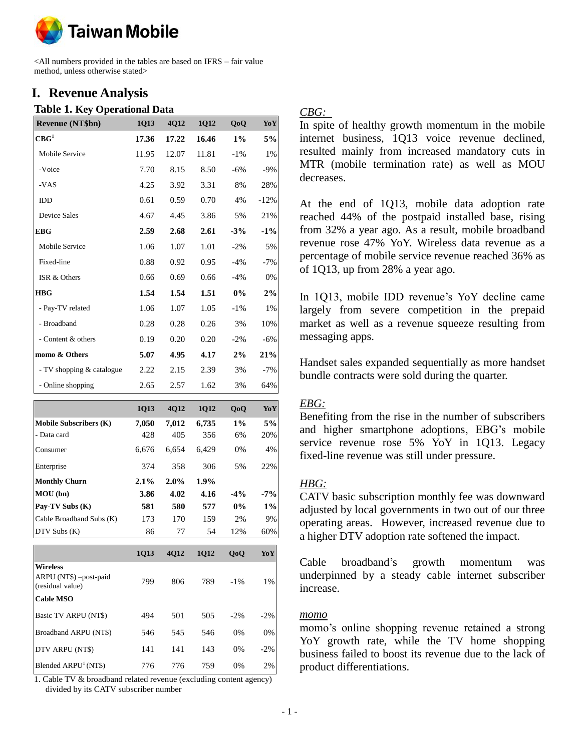

<All numbers provided in the tables are based on IFRS – fair value method, unless otherwise stated>

## **I. Revenue Analysis**

#### **Table 1. Key Operational Data**

| <b>Revenue (NT\$bn)</b>   | 1Q13  | 4Q12  | 1012  | 0 <sub>0</sub> | YoY    |
|---------------------------|-------|-------|-------|----------------|--------|
| $\mathbf{CBG}^1$          | 17.36 | 17.22 | 16.46 | $1\%$          | 5%     |
| Mobile Service            | 11.95 | 12.07 | 11.81 | $-1\%$         | 1%     |
| -Voice                    | 7.70  | 8.15  | 8.50  | $-6\%$         | $-9%$  |
| -VAS                      | 4.25  | 3.92  | 3.31  | 8%             | 28%    |
| <b>IDD</b>                | 0.61  | 0.59  | 0.70  | 4%             | $-12%$ |
| <b>Device Sales</b>       | 4.67  | 4.45  | 3.86  | 5%             | 21%    |
| <b>EBG</b>                | 2.59  | 2.68  | 2.61  | $-3%$          | $-1\%$ |
| Mobile Service            | 1.06  | 1.07  | 1.01  | $-2\%$         | 5%     |
| Fixed-line                | 0.88  | 0.92  | 0.95  | $-4%$          | $-7%$  |
| ISR & Others              | 0.66  | 0.69  | 0.66  | $-4%$          | 0%     |
| <b>HBG</b>                | 1.54  | 1.54  | 1.51  | $0\%$          | 2%     |
| - Pay-TV related          | 1.06  | 1.07  | 1.05  | $-1\%$         | 1%     |
| - Broadband               | 0.28  | 0.28  | 0.26  | 3%             | 10%    |
| - Content & others        | 0.19  | 0.20  | 0.20  | $-2\%$         | $-6%$  |
| momo & Others             | 5.07  | 4.95  | 4.17  | 2%             | 21%    |
| - TV shopping & catalogue | 2.22  | 2.15  | 2.39  | 3%             | $-7%$  |
| - Online shopping         | 2.65  | 2.57  | 1.62  | 3%             | 64%    |

|                               | 1013    | <b>4012</b> | <b>1012</b> | 0 <sub>0</sub> | YoY   |
|-------------------------------|---------|-------------|-------------|----------------|-------|
| <b>Mobile Subscribers (K)</b> | 7,050   | 7.012       | 6,735       | $1\%$          | 5%    |
| - Data card                   | 428     | 405         | 356         | 6%             | 20%   |
| Consumer                      | 6.676   | 6.654       | 6.429       | 0%             | 4%    |
| Enterprise                    | 374     | 358         | 306         | 5%             | 22%   |
| <b>Monthly Churn</b>          | $2.1\%$ | 2.0%        | 1.9%        |                |       |
| MOU (bn)                      | 3.86    | 4.02        | 4.16        | $-4%$          | $-7%$ |
| Pay-TV Subs (K)               | 581     | 580         | 577         | $0\%$          | $1\%$ |
| Cable Broadband Subs (K)      | 173     | 170         | 159         | 2%             | 9%    |
| $DTV$ Subs $(K)$              | 86      | 77          | 54          | 12%            | 60%   |

|                                                               | <b>1Q13</b> | <b>4012</b> | 1012 | QoQ    | YoY    |
|---------------------------------------------------------------|-------------|-------------|------|--------|--------|
| <b>Wireless</b><br>ARPU (NT\$) -post-paid<br>(residual value) | 799         | 806         | 789  | $-1\%$ | $1\%$  |
| <b>Cable MSO</b>                                              |             |             |      |        |        |
| Basic TV ARPU (NT\$)                                          | 494         | 501         | 505  | $-2\%$ | $-2\%$ |
| Broadband ARPU (NT\$)                                         | 546         | 545         | 546  | $0\%$  | 0%     |
| DTV ARPU (NT\$)                                               | 141         | 141         | 143  | $0\%$  | $-2\%$ |
| Blended ARPU <sup>1</sup> (NT\$)                              | 776         | 776         | 759  | $0\%$  | 2%     |

1. Cable TV & broadband related revenue (excluding content agency) divided by its CATV subscriber number

## *CBG:*

In spite of healthy growth momentum in the mobile internet business, 1Q13 voice revenue declined, resulted mainly from increased mandatory cuts in MTR (mobile termination rate) as well as MOU decreases.

At the end of 1Q13, mobile data adoption rate reached 44% of the postpaid installed base, rising from 32% a year ago. As a result, mobile broadband revenue rose 47% YoY. Wireless data revenue as a percentage of mobile service revenue reached 36% as of 1Q13, up from 28% a year ago.

In 1Q13, mobile IDD revenue's YoY decline came largely from severe competition in the prepaid market as well as a revenue squeeze resulting from messaging apps.

Handset sales expanded sequentially as more handset bundle contracts were sold during the quarter.

## *EBG:*

Benefiting from the rise in the number of subscribers and higher smartphone adoptions, EBG's mobile service revenue rose 5% YoY in 1Q13. Legacy fixed-line revenue was still under pressure.

## *HBG:*

CATV basic subscription monthly fee was downward adjusted by local governments in two out of our three operating areas. However, increased revenue due to a higher DTV adoption rate softened the impact.

Cable broadband's growth momentum was underpinned by a steady cable internet subscriber increase.

#### *momo*

momo's online shopping revenue retained a strong YoY growth rate, while the TV home shopping business failed to boost its revenue due to the lack of product differentiations.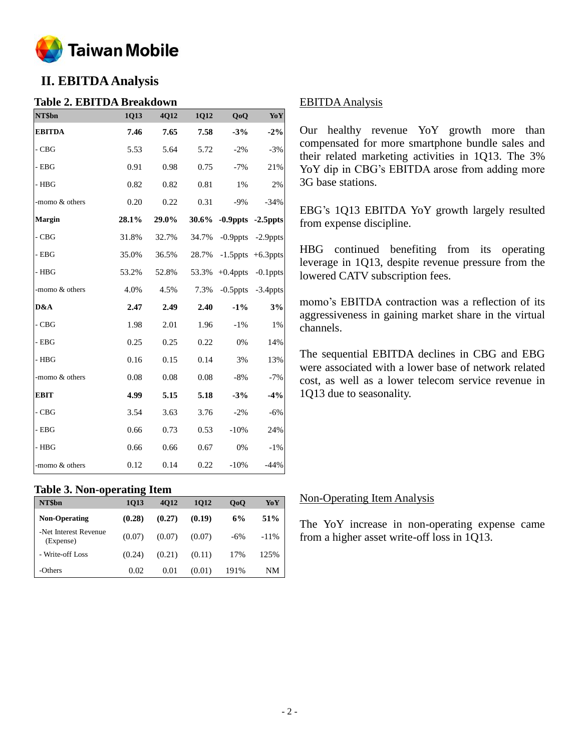

# **II. EBITDA Analysis**

## **Table 2. EBITDA Breakdown**

| NT\$bn         | 1Q13  | 4Q12  | 1Q12  | QoQ         | YoY                     |
|----------------|-------|-------|-------|-------------|-------------------------|
| <b>EBITDA</b>  | 7.46  | 7.65  | 7.58  | $-3%$       | $-2\%$                  |
| $-CBG$         | 5.53  | 5.64  | 5.72  | $-2%$       | $-3%$                   |
| $-$ EBG        | 0.91  | 0.98  | 0.75  | $-7%$       | 21%                     |
| $-$ HBG        | 0.82  | 0.82  | 0.81  | 1%          | 2%                      |
| -momo & others | 0.20  | 0.22  | 0.31  | $-9%$       | $-34%$                  |
| <b>Margin</b>  | 28.1% | 29.0% | 30.6% |             | $-0.9$ ppts $-2.5$ ppts |
| $-CBG$         | 31.8% | 32.7% | 34.7% | $-0.9$ ppts | -2.9ppts                |
| $-$ EBG        | 35.0% | 36.5% | 28.7% |             | $-1.5$ ppts $+6.3$ ppts |
| $-$ HBG        | 53.2% | 52.8% | 53.3% | $+0.4$ ppts | $-0.1$ ppts             |
| -momo & others | 4.0%  | 4.5%  | 7.3%  | $-0.5$ ppts | $-3.4$ ppts             |
| D&A            | 2.47  | 2.49  | 2.40  | $-1\%$      | 3%                      |
| $-CBG$         | 1.98  | 2.01  | 1.96  | $-1%$       | 1%                      |
| - $EBG$        | 0.25  | 0.25  | 0.22  | 0%          | 14%                     |
| $-$ HBG        | 0.16  | 0.15  | 0.14  | 3%          | 13%                     |
| -momo & others | 0.08  | 0.08  | 0.08  | $-8%$       | $-7%$                   |
| <b>EBIT</b>    | 4.99  | 5.15  | 5.18  | $-3%$       | $-4%$                   |
| $-CBG$         | 3.54  | 3.63  | 3.76  | $-2%$       | $-6%$                   |
| $-$ EBG        | 0.66  | 0.73  | 0.53  | $-10%$      | 24%                     |
| $-$ HBG        | 0.66  | 0.66  | 0.67  | 0%          | $-1\%$                  |
| -momo & others | 0.12  | 0.14  | 0.22  | $-10%$      | $-44%$                  |

#### **Table 3. Non-operating Item**

| NT\$bn                             | 1013   | 4012   | 1012   | 0 <sub>0</sub> | YoY             |
|------------------------------------|--------|--------|--------|----------------|-----------------|
| <b>Non-Operating</b>               | (0.28) | (0.27) | (0.19) | 6%             | 51 <sup>%</sup> |
| -Net Interest Revenue<br>(Expense) | (0.07) | (0.07) | (0.07) | $-6%$          | $-11\%$         |
| - Write-off Loss                   | (0.24) | (0.21) | (0.11) | 17%            | 125%            |
| -Others                            | 0.02   | 0.01   | (0.01) | 191%           | NΜ              |

## EBITDA Analysis

Our healthy revenue YoY growth more than compensated for more smartphone bundle sales and their related marketing activities in 1Q13. The 3% YoY dip in CBG's EBITDA arose from adding more 3G base stations.

EBG's 1Q13 EBITDA YoY growth largely resulted from expense [discipline.](http://tw.rd.yahoo.com/_ylt=A3eg.822xvNQtB4AZYLhbB4J/SIG=12s0bnjv0/EXP=1358182198/**http%3a/tw.dictionary.yahoo.com/dictionary%3fp=discipline%26docid=1028560)

HBG continued benefiting from its operating leverage in 1Q13, despite revenue pressure from the lowered CATV subscription fees.

momo's EBITDA contraction was a reflection of its aggressiveness in gaining market share in the virtual channels.

The sequential EBITDA declines in CBG and EBG were associated with a lower base of network related cost, as well as a lower telecom service revenue in 1Q13 due to seasonality.

#### Non-Operating Item Analysis

The YoY increase in non-operating expense came from a higher asset write-off loss in 1Q13.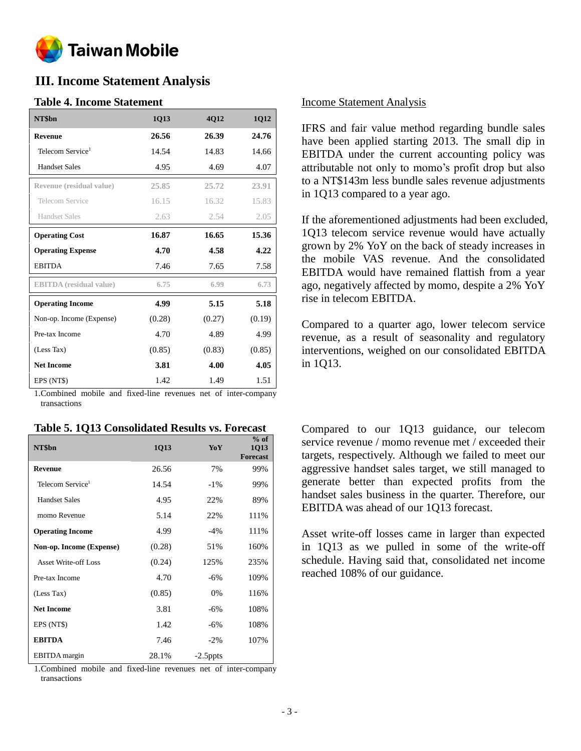

## **III. Income Statement Analysis**

## **Table 4. Income Statement**

| NT\$bn                         | 1Q13   | <b>4012</b> | 1Q12   |
|--------------------------------|--------|-------------|--------|
| <b>Revenue</b>                 | 26.56  | 26.39       | 24.76  |
| Telecom Service <sup>1</sup>   | 14.54  | 14.83       | 14.66  |
| <b>Handset Sales</b>           | 4.95   | 4.69        | 4.07   |
| Revenue (residual value)       | 25.85  | 25.72       | 23.91  |
| Telecom Service                | 16.15  | 16.32       | 15.83  |
| Handset Sales                  | 2.63   | 2.54        | 2.05   |
| <b>Operating Cost</b>          | 16.87  | 16.65       | 15.36  |
| <b>Operating Expense</b>       | 4.70   | 4.58        | 4.22   |
| <b>EBITDA</b>                  | 7.46   | 7.65        | 7.58   |
| <b>EBITDA</b> (residual value) | 6.75   | 6.99        | 6.73   |
| <b>Operating Income</b>        | 4.99   | 5.15        | 5.18   |
| Non-op. Income (Expense)       | (0.28) | (0.27)      | (0.19) |
| Pre-tax Income                 | 4.70   | 4.89        | 4.99   |
| (Less Tax)                     | (0.85) | (0.83)      | (0.85) |
| <b>Net Income</b>              | 3.81   | 4.00        | 4.05   |
| EPS (NT\$)                     | 1.42   | 1.49        | 1.51   |

1.Combined mobile and fixed-line revenues net of inter-company transactions

| NT\$bn                       | 1Q13   | YoY         | $%$ of<br>1Q13<br><b>Forecast</b> |
|------------------------------|--------|-------------|-----------------------------------|
| <b>Revenue</b>               | 26.56  | 7%          | 99%                               |
| Telecom Service <sup>1</sup> | 14.54  | $-1\%$      | 99%                               |
| <b>Handset Sales</b>         | 4.95   | 22%         | 89%                               |
| momo Revenue                 | 5.14   | 22%         | 111%                              |
| <b>Operating Income</b>      | 4.99   | $-4\%$      | 111%                              |
| Non-op. Income (Expense)     | (0.28) | 51%         | 160%                              |
| <b>Asset Write-off Loss</b>  | (0.24) | 125%        | 235%                              |
| Pre-tax Income               | 4.70   | $-6\%$      | 109%                              |
| (Less Tax)                   | (0.85) | 0%          | 116%                              |
| <b>Net Income</b>            | 3.81   | $-6\%$      | 108%                              |
| EPS (NT\$)                   | 1.42   | $-6\%$      | 108%                              |
| <b>EBITDA</b>                | 7.46   | $-2\%$      | 107%                              |
| EBITDA margin                | 28.1%  | $-2.5$ ppts |                                   |

1.Combined mobile and fixed-line revenues net of inter-company transactions

## Income Statement Analysis

IFRS and fair value method regarding bundle sales have been applied starting 2013. The small dip in EBITDA under the current accounting policy was attributable not only to momo's profit drop but also to a NT\$143m less bundle sales revenue adjustments in 1Q13 compared to a year ago.

If the aforementioned adjustments had been excluded, 1Q13 telecom service revenue would have actually grown by 2% YoY on the back of steady increases in the mobile VAS revenue. And the consolidated EBITDA would have remained flattish from a year ago, negatively affected by momo, despite a 2% YoY rise in telecom EBITDA.

Compared to a quarter ago, lower telecom service revenue, as a result of seasonality and regulatory interventions, weighed on our consolidated EBITDA in 1Q13.

Compared to our 1Q13 guidance, our telecom service revenue / momo revenue met / exceeded their targets, respectively. Although we failed to meet our aggressive handset sales target, we still managed to generate better than expected profits from the handset sales business in the quarter. Therefore, our EBITDA was ahead of our 1Q13 forecast.

Asset write-off losses came in larger than expected in 1Q13 as we pulled in some of the write-off schedule. Having said that, consolidated net income reached 108% of our guidance.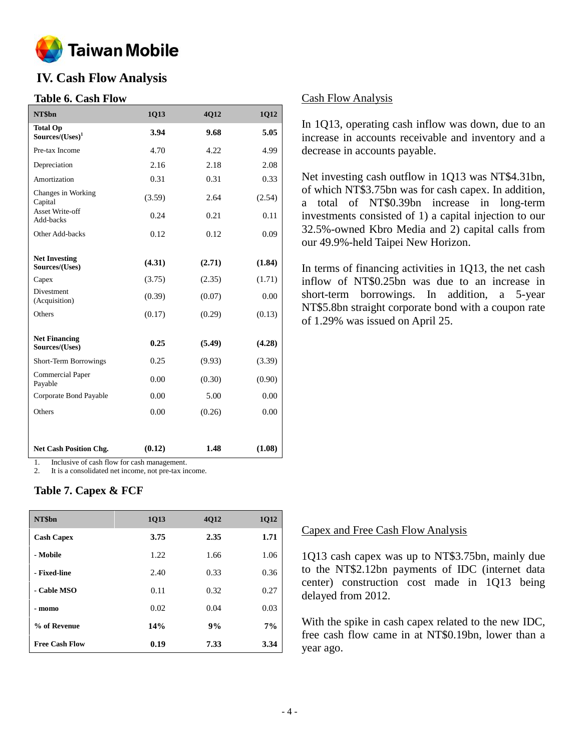

# **IV. Cash Flow Analysis**

## **Table 6. Cash Flow**

| NT\$bn                                 | 1Q13   | 4Q12   | 1Q12   |
|----------------------------------------|--------|--------|--------|
| <b>Total Op</b><br>$Sources/(Uses)^1$  | 3.94   | 9.68   | 5.05   |
| Pre-tax Income                         | 4.70   | 4.22   | 4.99   |
| Depreciation                           | 2.16   | 2.18   | 2.08   |
| Amortization                           | 0.31   | 0.31   | 0.33   |
| Changes in Working<br>Capital          | (3.59) | 2.64   | (2.54) |
| <b>Asset Write-off</b><br>Add-backs    | 0.24   | 0.21   | 0.11   |
| Other Add-backs                        | 0.12   | 0.12   | 0.09   |
| <b>Net Investing</b><br>Sources/(Uses) | (4.31) | (2.71) | (1.84) |
| Capex                                  | (3.75) | (2.35) | (1.71) |
| Divestment<br>(Acquisition)            | (0.39) | (0.07) | 0.00   |
| Others                                 | (0.17) | (0.29) | (0.13) |
| <b>Net Financing</b><br>Sources/(Uses) | 0.25   | (5.49) | (4.28) |
| Short-Term Borrowings                  | 0.25   | (9.93) | (3.39) |
| <b>Commercial Paper</b><br>Payable     | 0.00   | (0.30) | (0.90) |
| Corporate Bond Payable                 | 0.00   | 5.00   | 0.00   |
| Others                                 | 0.00   | (0.26) | 0.00   |
| <b>Net Cash Position Chg.</b>          | (0.12) | 1.48   | (1.08) |

1. Inclusive of cash flow for cash management.

2. It is a consolidated net income, not pre-tax income.

## **Table 7. Capex & FCF**

| NT\$bn                | 1Q13 | <b>4012</b> | 1Q12 |
|-----------------------|------|-------------|------|
| <b>Cash Capex</b>     | 3.75 | 2.35        | 1.71 |
| - Mobile              | 1.22 | 1.66        | 1.06 |
| - Fixed-line          | 2.40 | 0.33        | 0.36 |
| - Cable MSO           | 0.11 | 0.32        | 0.27 |
| - momo                | 0.02 | 0.04        | 0.03 |
| % of Revenue          | 14%  | 9%          | 7%   |
| <b>Free Cash Flow</b> | 0.19 | 7.33        | 3.34 |

#### Cash Flow Analysis

In 1Q13, operating cash inflow was down, due to an increase in accounts receivable and inventory and a decrease in accounts payable.

Net investing cash outflow in 1Q13 was NT\$4.31bn, of which NT\$3.75bn was for cash capex. In addition, a total of NT\$0.39bn increase in long-term investments consisted of 1) a capital injection to our 32.5%-owned Kbro Media and 2) capital calls from our 49.9%-held Taipei New Horizon.

In terms of financing activities in 1Q13, the net cash inflow of NT\$0.25bn was due to an increase in short-term borrowings. In addition, a 5-year NT\$5.8bn straight corporate bond with a coupon rate of 1.29% was issued on April 25.

#### Capex and Free Cash Flow Analysis

1Q13 cash capex was up to NT\$3.75bn, mainly due to the NT\$2.12bn payments of IDC (internet data center) construction cost made in 1Q13 being delayed from 2012.

With the spike in cash capex related to the new IDC, free cash flow came in at NT\$0.19bn, lower than a year ago.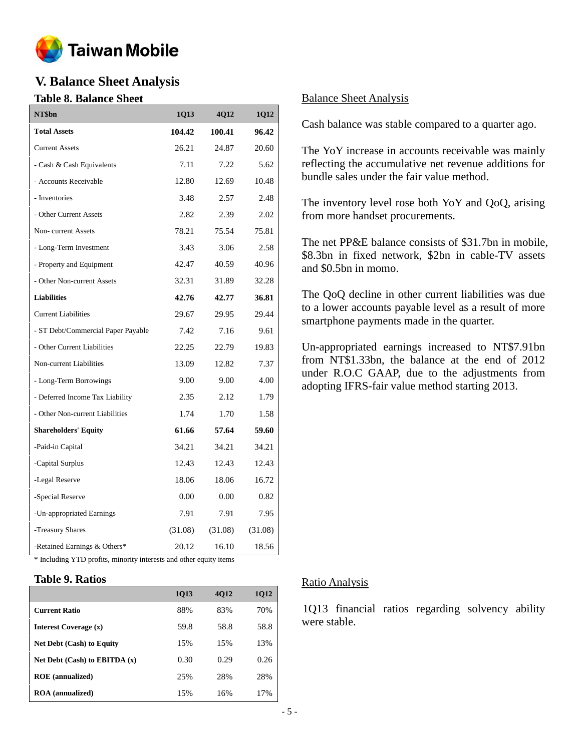

# **V. Balance Sheet Analysis**

## **Table 8. Balance Sheet**

| NT\$bn                             | 1Q13    | 4Q12    | <b>1Q12</b> |
|------------------------------------|---------|---------|-------------|
| <b>Total Assets</b>                | 104.42  | 100.41  | 96.42       |
| <b>Current Assets</b>              | 26.21   | 24.87   | 20.60       |
| - Cash & Cash Equivalents          | 7.11    | 7.22    | 5.62        |
| - Accounts Receivable              | 12.80   | 12.69   | 10.48       |
| - Inventories                      | 3.48    | 2.57    | 2.48        |
| - Other Current Assets             | 2.82    | 2.39    | 2.02        |
| Non-current Assets                 | 78.21   | 75.54   | 75.81       |
| - Long-Term Investment             | 3.43    | 3.06    | 2.58        |
| - Property and Equipment           | 42.47   | 40.59   | 40.96       |
| - Other Non-current Assets         | 32.31   | 31.89   | 32.28       |
| <b>Liabilities</b>                 | 42.76   | 42.77   | 36.81       |
| <b>Current Liabilities</b>         | 29.67   | 29.95   | 29.44       |
| - ST Debt/Commercial Paper Payable | 7.42    | 7.16    | 9.61        |
| - Other Current Liabilities        | 22.25   | 22.79   | 19.83       |
| Non-current Liabilities            | 13.09   | 12.82   | 7.37        |
| - Long-Term Borrowings             | 9.00    | 9.00    | 4.00        |
| - Deferred Income Tax Liability    | 2.35    | 2.12    | 1.79        |
| - Other Non-current Liabilities    | 1.74    | 1.70    | 1.58        |
| <b>Shareholders' Equity</b>        | 61.66   | 57.64   | 59.60       |
| -Paid-in Capital                   | 34.21   | 34.21   | 34.21       |
| -Capital Surplus                   | 12.43   | 12.43   | 12.43       |
| -Legal Reserve                     | 18.06   | 18.06   | 16.72       |
| -Special Reserve                   | 0.00    | 0.00    | 0.82        |
| -Un-appropriated Earnings          | 7.91    | 7.91    | 7.95        |
| -Treasury Shares                   | (31.08) | (31.08) | (31.08)     |
| -Retained Earnings & Others*       | 20.12   | 16.10   | 18.56       |

\* Including YTD profits, minority interests and other equity items

#### **Table 9. Ratios**

|                                  | 1Q13 | <b>4012</b> | 1Q12 |
|----------------------------------|------|-------------|------|
| <b>Current Ratio</b>             | 88%  | 83%         | 70%  |
| Interest Coverage (x)            | 59.8 | 58.8        | 58.8 |
| <b>Net Debt (Cash) to Equity</b> | 15%  | 15%         | 13%  |
| Net Debt (Cash) to EBITDA $(x)$  | 0.30 | 0.29        | 0.26 |
| <b>ROE</b> (annualized)          | 25%  | 28%         | 28%  |
| <b>ROA</b> (annualized)          | 15%  | 16%         | 17%  |

## Balance Sheet Analysis

Cash balance was stable compared to a quarter ago.

The YoY increase in accounts receivable was mainly reflecting the accumulative net revenue additions for bundle sales under the fair value method.

The inventory level rose both YoY and QoQ, arising from more handset procurements.

The net PP&E balance consists of \$31.7bn in mobile, \$8.3bn in fixed network, \$2bn in cable-TV assets and \$0.5bn in momo.

The QoQ decline in other current liabilities was due to a lower accounts payable level as a result of more smartphone payments made in the quarter.

Un-appropriated earnings increased to NT\$7.91bn from NT\$1.33bn, the balance at the end of 2012 under R.O.C GAAP, due to the adjustments from adopting IFRS-fair value method starting 2013.

#### Ratio Analysis

1Q13 financial ratios regarding solvency ability were stable.